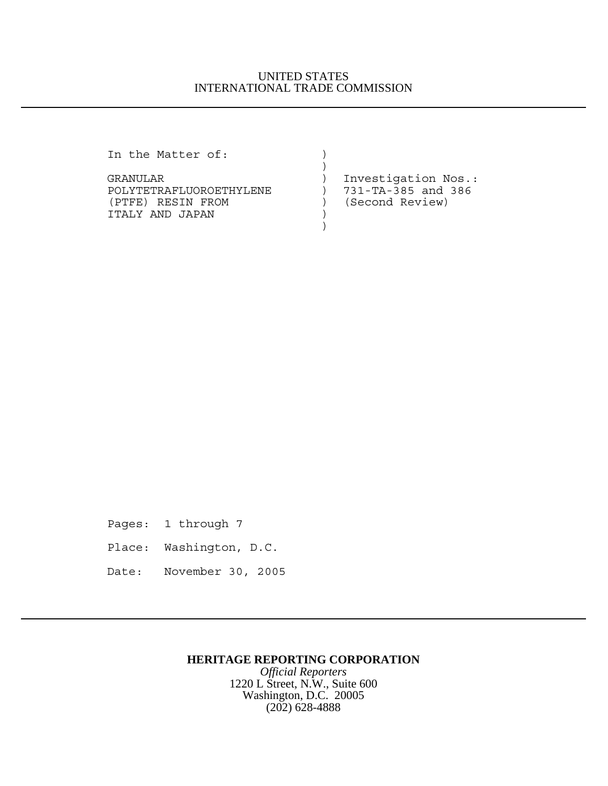## UNITED STATES INTERNATIONAL TRADE COMMISSION

In the Matter of:  $)$ 

GRANULAR (GRANULAR ) Investigation Nos.:<br>POLYTETRAFLUOROETHYLENE ) 731-TA-385 and 386 POLYTETRAFLUOROETHYLENE ) (PTFE) RESIN FROM (Second Review) ITALY AND JAPAN )  $)$ 

 $)$ 

Pages: 1 through 7

- Place: Washington, D.C.
- Date: November 30, 2005

## **HERITAGE REPORTING CORPORATION**

*Official Reporters* 1220 L Street, N.W., Suite 600 Washington, D.C. 20005 (202) 628-4888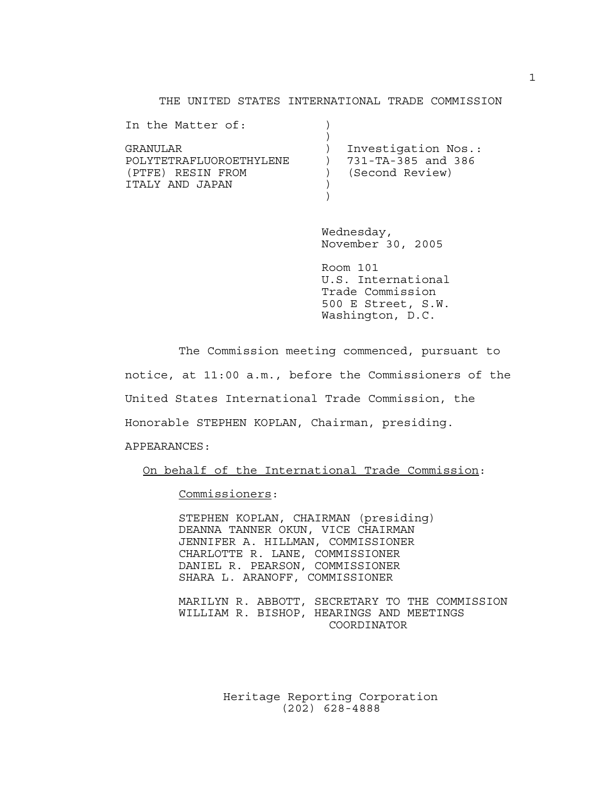## THE UNITED STATES INTERNATIONAL TRADE COMMISSION

| In the Matter of:       |                     |
|-------------------------|---------------------|
|                         |                     |
| GRANULAR                | Investigation Nos.: |
| POLYTETRAFLUOROETHYLENE | 731-TA-385 and 386  |
| (PTFE) RESIN FROM       | (Second Review)     |
| TTALY AND JAPAN         |                     |
|                         |                     |

Wednesday, November 30, 2005

Room 101 U.S. International Trade Commission 500 E Street, S.W. Washington, D.C.

The Commission meeting commenced, pursuant to notice, at 11:00 a.m., before the Commissioners of the United States International Trade Commission, the Honorable STEPHEN KOPLAN, Chairman, presiding. APPEARANCES:

On behalf of the International Trade Commission:

Commissioners:

STEPHEN KOPLAN, CHAIRMAN (presiding) DEANNA TANNER OKUN, VICE CHAIRMAN JENNIFER A. HILLMAN, COMMISSIONER CHARLOTTE R. LANE, COMMISSIONER DANIEL R. PEARSON, COMMISSIONER SHARA L. ARANOFF, COMMISSIONER

MARILYN R. ABBOTT, SECRETARY TO THE COMMISSION WILLIAM R. BISHOP, HEARINGS AND MEETINGS COORDINATOR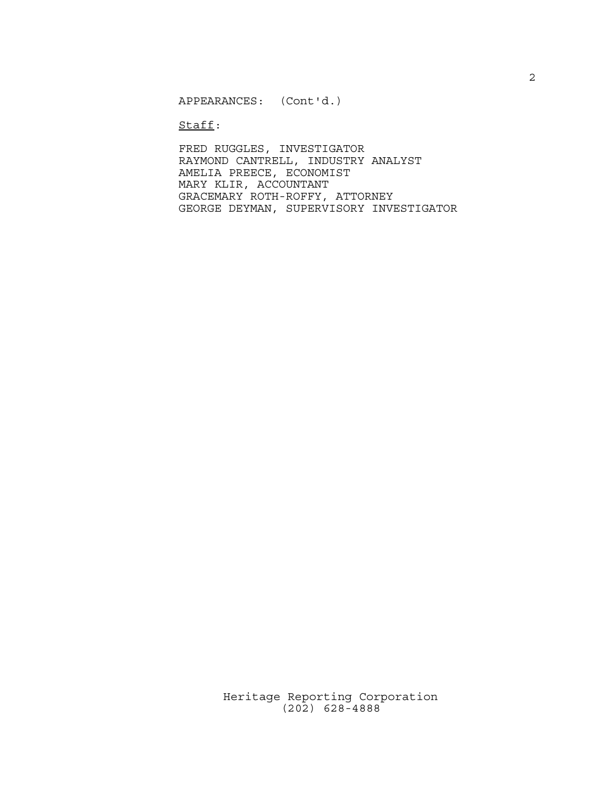APPEARANCES: (Cont'd.)

Staff:

FRED RUGGLES, INVESTIGATOR RAYMOND CANTRELL, INDUSTRY ANALYST AMELIA PREECE, ECONOMIST MARY KLIR, ACCOUNTANT GRACEMARY ROTH-ROFFY, ATTORNEY GEORGE DEYMAN, SUPERVISORY INVESTIGATOR 2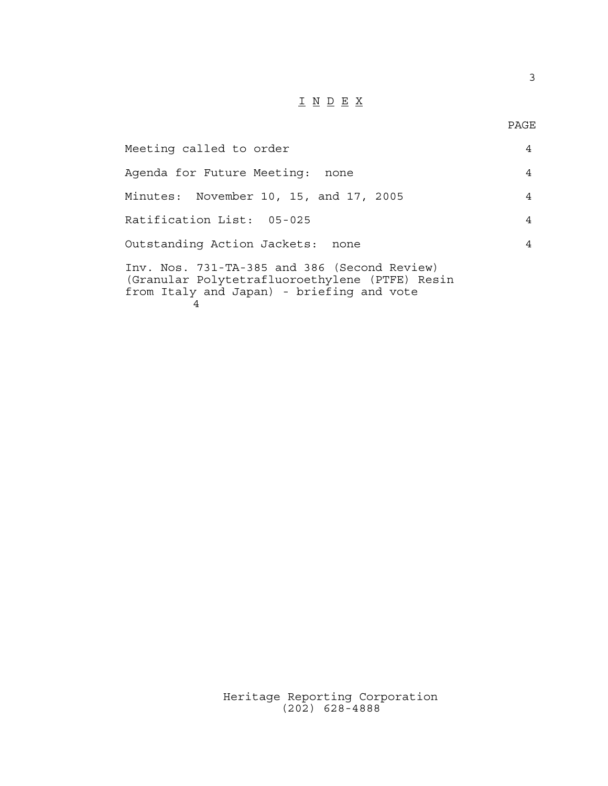## $\underline{\texttt{I}} \underline{\texttt{N}} \underline{\texttt{D}} \underline{\texttt{E}} \underline{\texttt{X}}$

PAGE

3

| Meeting called to order                                                                                                                          | $\overline{4}$ |
|--------------------------------------------------------------------------------------------------------------------------------------------------|----------------|
| Agenda for Future Meeting: none                                                                                                                  | $\overline{4}$ |
| Minutes: November 10, 15, and 17, 2005                                                                                                           | $\overline{4}$ |
| Ratification List: 05-025                                                                                                                        | $\overline{4}$ |
| Outstanding Action Jackets: none                                                                                                                 | 4              |
| Inv. Nos. 731-TA-385 and 386 (Second Review)<br>(Granular Polytetrafluoroethylene (PTFE) Resin<br>from Italy and Japan) - briefing and vote<br>4 |                |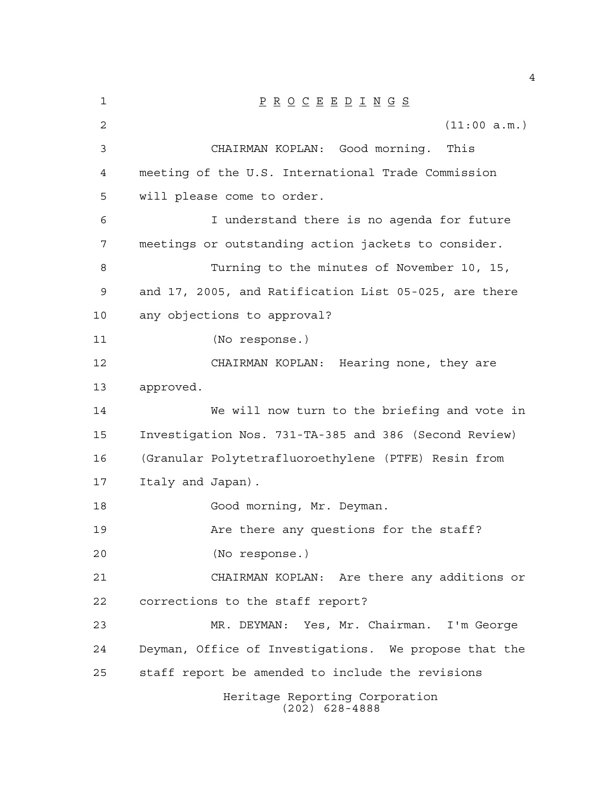| 1  | $\underline{P} \underline{R} \underline{O} \underline{C} \underline{E} \underline{E} \underline{D} \underline{I} \underline{N} \underline{G} \underline{S}$ |
|----|-------------------------------------------------------------------------------------------------------------------------------------------------------------|
| 2  | (11:00 a.m.)                                                                                                                                                |
| 3  | CHAIRMAN KOPLAN: Good morning. This                                                                                                                         |
| 4  | meeting of the U.S. International Trade Commission                                                                                                          |
| 5  | will please come to order.                                                                                                                                  |
| 6  | I understand there is no agenda for future                                                                                                                  |
| 7  | meetings or outstanding action jackets to consider.                                                                                                         |
| 8  | Turning to the minutes of November 10, 15,                                                                                                                  |
| 9  | and 17, 2005, and Ratification List 05-025, are there                                                                                                       |
| 10 | any objections to approval?                                                                                                                                 |
| 11 | (No response.)                                                                                                                                              |
| 12 | CHAIRMAN KOPLAN: Hearing none, they are                                                                                                                     |
| 13 | approved.                                                                                                                                                   |
| 14 | We will now turn to the briefing and vote in                                                                                                                |
| 15 | Investigation Nos. 731-TA-385 and 386 (Second Review)                                                                                                       |
| 16 | (Granular Polytetrafluoroethylene (PTFE) Resin from                                                                                                         |
| 17 | Italy and Japan).                                                                                                                                           |
| 18 | Good morning, Mr. Deyman.                                                                                                                                   |
| 19 | Are there any questions for the staff?                                                                                                                      |
| 20 | (No response.)                                                                                                                                              |
| 21 | CHAIRMAN KOPLAN: Are there any additions or                                                                                                                 |
| 22 | corrections to the staff report?                                                                                                                            |
| 23 | MR. DEYMAN: Yes, Mr. Chairman. I'm George                                                                                                                   |
| 24 | Deyman, Office of Investigations. We propose that the                                                                                                       |
| 25 | staff report be amended to include the revisions                                                                                                            |
|    | Heritage Reporting Corporation<br>$(202)$ 628-4888                                                                                                          |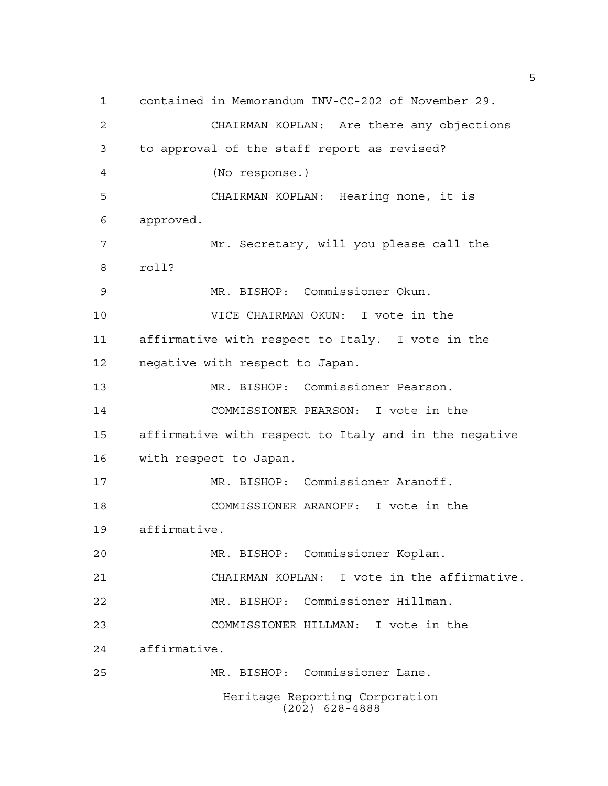contained in Memorandum INV-CC-202 of November 29. CHAIRMAN KOPLAN: Are there any objections to approval of the staff report as revised? (No response.) CHAIRMAN KOPLAN: Hearing none, it is approved. Mr. Secretary, will you please call the roll? MR. BISHOP: Commissioner Okun. VICE CHAIRMAN OKUN: I vote in the affirmative with respect to Italy. I vote in the negative with respect to Japan. MR. BISHOP: Commissioner Pearson. COMMISSIONER PEARSON: I vote in the affirmative with respect to Italy and in the negative with respect to Japan. MR. BISHOP: Commissioner Aranoff. COMMISSIONER ARANOFF: I vote in the affirmative. MR. BISHOP: Commissioner Koplan. CHAIRMAN KOPLAN: I vote in the affirmative. MR. BISHOP: Commissioner Hillman. COMMISSIONER HILLMAN: I vote in the affirmative. MR. BISHOP: Commissioner Lane. Heritage Reporting Corporation (202) 628-4888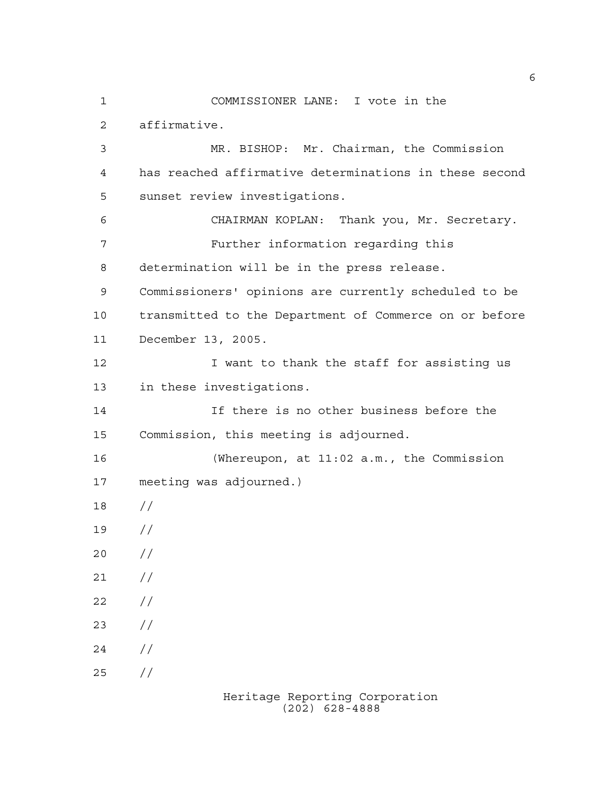COMMISSIONER LANE: I vote in the affirmative. MR. BISHOP: Mr. Chairman, the Commission has reached affirmative determinations in these second sunset review investigations. CHAIRMAN KOPLAN: Thank you, Mr. Secretary. Further information regarding this determination will be in the press release. Commissioners' opinions are currently scheduled to be transmitted to the Department of Commerce on or before December 13, 2005. 12 I want to thank the staff for assisting us in these investigations. If there is no other business before the Commission, this meeting is adjourned. (Whereupon, at 11:02 a.m., the Commission meeting was adjourned.) // //  $20 /$  $21 /$  $22 / /$  $23 / /$  $24 /$ //

Heritage Reporting Corporation (202) 628-4888